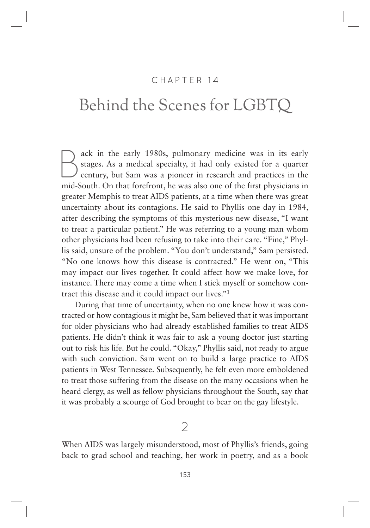## CHAPTER 14

# Behind the Scenes for LGBTQ

ack in the early 1980s, pulmonary medicine was in its early<br>stages. As a medical specialty, it had only existed for a quarter<br>century, but Sam was a pioneer in research and practices in the<br>mid-South On that forefront he w stages. As a medical specialty, it had only existed for a quarter century, but Sam was a pioneer in research and practices in the mid-South. On that forefront, he was also one of the first physicians in greater Memphis to treat AIDS patients, at a time when there was great uncertainty about its contagions. He said to Phyllis one day in 1984, after describing the symptoms of this mysterious new disease, "I want to treat a particular patient." He was referring to a young man whom other physicians had been refusing to take into their care. "Fine," Phyllis said, unsure of the problem. "You don't understand," Sam persisted. "No one knows how this disease is contracted." He went on, "This may impact our lives together. It could affect how we make love, for instance. There may come a time when I stick myself or somehow contract this disease and it could impact our lives."1

During that time of uncertainty, when no one knew how it was contracted or how contagious it might be, Sam believed that it was important for older physicians who had already established families to treat AIDS patients. He didn't think it was fair to ask a young doctor just starting out to risk his life. But he could. "Okay," Phyllis said, not ready to argue with such conviction. Sam went on to build a large practice to AIDS patients in West Tennessee. Subsequently, he felt even more emboldened to treat those suffering from the disease on the many occasions when he heard clergy, as well as fellow physicians throughout the South, say that it was probably a scourge of God brought to bear on the gay lifestyle.

 $\mathcal{P}$ 

When AIDS was largely misunderstood, most of Phyllis's friends, going back to grad school and teaching, her work in poetry, and as a book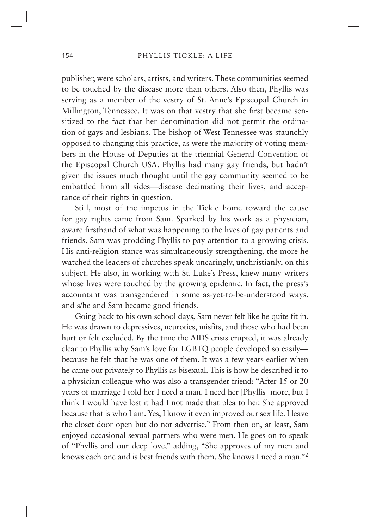publisher, were scholars, artists, and writers. These communities seemed to be touched by the disease more than others. Also then, Phyllis was serving as a member of the vestry of St. Anne's Episcopal Church in Millington, Tennessee. It was on that vestry that she first became sensitized to the fact that her denomination did not permit the ordination of gays and lesbians. The bishop of West Tennessee was staunchly opposed to changing this practice, as were the majority of voting members in the House of Deputies at the triennial General Convention of the Episcopal Church USA. Phyllis had many gay friends, but hadn't given the issues much thought until the gay community seemed to be embattled from all sides—disease decimating their lives, and acceptance of their rights in question.

Still, most of the impetus in the Tickle home toward the cause for gay rights came from Sam. Sparked by his work as a physician, aware firsthand of what was happening to the lives of gay patients and friends, Sam was prodding Phyllis to pay attention to a growing crisis. His anti-religion stance was simultaneously strengthening, the more he watched the leaders of churches speak uncaringly, unchristianly, on this subject. He also, in working with St. Luke's Press, knew many writers whose lives were touched by the growing epidemic. In fact, the press's accountant was transgendered in some as-yet-to-be-understood ways, and s/he and Sam became good friends.

Going back to his own school days, Sam never felt like he quite fit in. He was drawn to depressives, neurotics, misfits, and those who had been hurt or felt excluded. By the time the AIDS crisis erupted, it was already clear to Phyllis why Sam's love for LGBTQ people developed so easily because he felt that he was one of them. It was a few years earlier when he came out privately to Phyllis as bisexual. This is how he described it to a physician colleague who was also a transgender friend: "After 15 or 20 years of marriage I told her I need a man. I need her [Phyllis] more, but I think I would have lost it had I not made that plea to her. She approved because that is who I am. Yes, I know it even improved our sex life. I leave the closet door open but do not advertise." From then on, at least, Sam enjoyed occasional sexual partners who were men. He goes on to speak of "Phyllis and our deep love," adding, "She approves of my men and knows each one and is best friends with them. She knows I need a man."2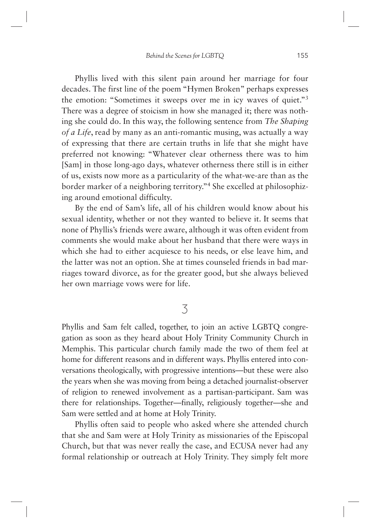Phyllis lived with this silent pain around her marriage for four decades. The first line of the poem "Hymen Broken" perhaps expresses the emotion: "Sometimes it sweeps over me in icy waves of quiet."3 There was a degree of stoicism in how she managed it; there was nothing she could do. In this way, the following sentence from *The Shaping of a Life*, read by many as an anti-romantic musing, was actually a way of expressing that there are certain truths in life that she might have preferred not knowing: "Whatever clear otherness there was to him [Sam] in those long-ago days, whatever otherness there still is in either of us, exists now more as a particularity of the what-we-are than as the border marker of a neighboring territory."4 She excelled at philosophizing around emotional difficulty.

By the end of Sam's life, all of his children would know about his sexual identity, whether or not they wanted to believe it. It seems that none of Phyllis's friends were aware, although it was often evident from comments she would make about her husband that there were ways in which she had to either acquiesce to his needs, or else leave him, and the latter was not an option. She at times counseled friends in bad marriages toward divorce, as for the greater good, but she always believed her own marriage vows were for life.

3

Phyllis and Sam felt called, together, to join an active LGBTQ congregation as soon as they heard about Holy Trinity Community Church in Memphis. This particular church family made the two of them feel at home for different reasons and in different ways. Phyllis entered into conversations theologically, with progressive intentions—but these were also the years when she was moving from being a detached journalist-observer of religion to renewed involvement as a partisan-participant. Sam was there for relationships. Together—finally, religiously together—she and Sam were settled and at home at Holy Trinity.

Phyllis often said to people who asked where she attended church that she and Sam were at Holy Trinity as missionaries of the Episcopal Church, but that was never really the case, and ECUSA never had any formal relationship or outreach at Holy Trinity. They simply felt more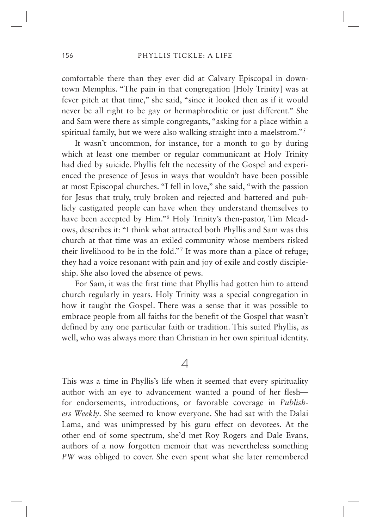comfortable there than they ever did at Calvary Episcopal in downtown Memphis. "The pain in that congregation [Holy Trinity] was at fever pitch at that time," she said, "since it looked then as if it would never be all right to be gay or hermaphroditic or just different." She and Sam were there as simple congregants, "asking for a place within a spiritual family, but we were also walking straight into a maelstrom."<sup>5</sup>

It wasn't uncommon, for instance, for a month to go by during which at least one member or regular communicant at Holy Trinity had died by suicide. Phyllis felt the necessity of the Gospel and experienced the presence of Jesus in ways that wouldn't have been possible at most Episcopal churches. "I fell in love," she said, "with the passion for Jesus that truly, truly broken and rejected and battered and publicly castigated people can have when they understand themselves to have been accepted by Him."6 Holy Trinity's then-pastor, Tim Meadows, describes it: "I think what attracted both Phyllis and Sam was this church at that time was an exiled community whose members risked their livelihood to be in the fold."7 It was more than a place of refuge; they had a voice resonant with pain and joy of exile and costly discipleship. She also loved the absence of pews.

For Sam, it was the first time that Phyllis had gotten him to attend church regularly in years. Holy Trinity was a special congregation in how it taught the Gospel. There was a sense that it was possible to embrace people from all faiths for the benefit of the Gospel that wasn't defined by any one particular faith or tradition. This suited Phyllis, as well, who was always more than Christian in her own spiritual identity.

#### $\Delta$

This was a time in Phyllis's life when it seemed that every spirituality author with an eye to advancement wanted a pound of her flesh for endorsements, introductions, or favorable coverage in *Publishers Weekly*. She seemed to know everyone. She had sat with the Dalai Lama, and was unimpressed by his guru effect on devotees. At the other end of some spectrum, she'd met Roy Rogers and Dale Evans, authors of a now forgotten memoir that was nevertheless something *PW* was obliged to cover. She even spent what she later remembered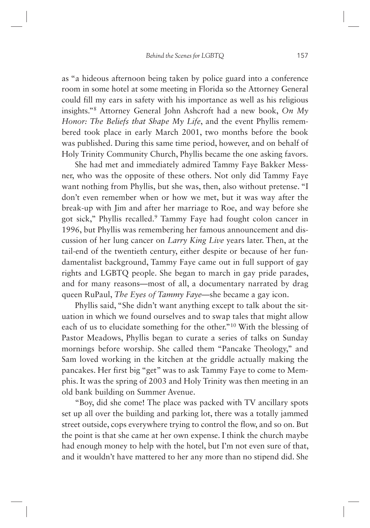as "a hideous afternoon being taken by police guard into a conference room in some hotel at some meeting in Florida so the Attorney General could fill my ears in safety with his importance as well as his religious insights."8 Attorney General John Ashcroft had a new book, *On My Honor: The Beliefs that Shape My Life*, and the event Phyllis remembered took place in early March 2001, two months before the book was published. During this same time period, however, and on behalf of Holy Trinity Community Church, Phyllis became the one asking favors.

She had met and immediately admired Tammy Faye Bakker Messner, who was the opposite of these others. Not only did Tammy Faye want nothing from Phyllis, but she was, then, also without pretense. "I don't even remember when or how we met, but it was way after the break-up with Jim and after her marriage to Roe, and way before she got sick," Phyllis recalled.9 Tammy Faye had fought colon cancer in 1996, but Phyllis was remembering her famous announcement and discussion of her lung cancer on *Larry King Live* years later. Then, at the tail-end of the twentieth century, either despite or because of her fundamentalist background, Tammy Faye came out in full support of gay rights and LGBTQ people. She began to march in gay pride parades, and for many reasons—most of all, a documentary narrated by drag queen RuPaul, *The Eyes of Tammy Faye*—she became a gay icon.

Phyllis said, "She didn't want anything except to talk about the situation in which we found ourselves and to swap tales that might allow each of us to elucidate something for the other."10 With the blessing of Pastor Meadows, Phyllis began to curate a series of talks on Sunday mornings before worship. She called them "Pancake Theology," and Sam loved working in the kitchen at the griddle actually making the pancakes. Her first big "get" was to ask Tammy Faye to come to Memphis. It was the spring of 2003 and Holy Trinity was then meeting in an old bank building on Summer Avenue.

"Boy, did she come! The place was packed with TV ancillary spots set up all over the building and parking lot, there was a totally jammed street outside, cops everywhere trying to control the flow, and so on. But the point is that she came at her own expense. I think the church maybe had enough money to help with the hotel, but I'm not even sure of that, and it wouldn't have mattered to her any more than no stipend did. She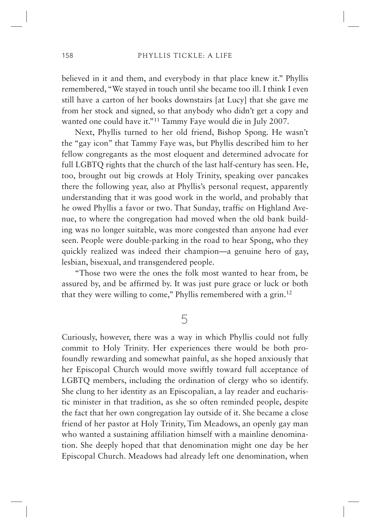believed in it and them, and everybody in that place knew it." Phyllis remembered, "We stayed in touch until she became too ill. I think I even still have a carton of her books downstairs [at Lucy] that she gave me from her stock and signed, so that anybody who didn't get a copy and wanted one could have it."11 Tammy Faye would die in July 2007.

Next, Phyllis turned to her old friend, Bishop Spong. He wasn't the "gay icon" that Tammy Faye was, but Phyllis described him to her fellow congregants as the most eloquent and determined advocate for full LGBTQ rights that the church of the last half-century has seen. He, too, brought out big crowds at Holy Trinity, speaking over pancakes there the following year, also at Phyllis's personal request, apparently understanding that it was good work in the world, and probably that he owed Phyllis a favor or two. That Sunday, traffic on Highland Avenue, to where the congregation had moved when the old bank building was no longer suitable, was more congested than anyone had ever seen. People were double-parking in the road to hear Spong, who they quickly realized was indeed their champion—a genuine hero of gay, lesbian, bisexual, and transgendered people.

"Those two were the ones the folk most wanted to hear from, be assured by, and be affirmed by. It was just pure grace or luck or both that they were willing to come," Phyllis remembered with a grin.<sup>12</sup>

5

Curiously, however, there was a way in which Phyllis could not fully commit to Holy Trinity. Her experiences there would be both profoundly rewarding and somewhat painful, as she hoped anxiously that her Episcopal Church would move swiftly toward full acceptance of LGBTQ members, including the ordination of clergy who so identify. She clung to her identity as an Episcopalian, a lay reader and eucharistic minister in that tradition, as she so often reminded people, despite the fact that her own congregation lay outside of it. She became a close friend of her pastor at Holy Trinity, Tim Meadows, an openly gay man who wanted a sustaining affiliation himself with a mainline denomination. She deeply hoped that that denomination might one day be her Episcopal Church. Meadows had already left one denomination, when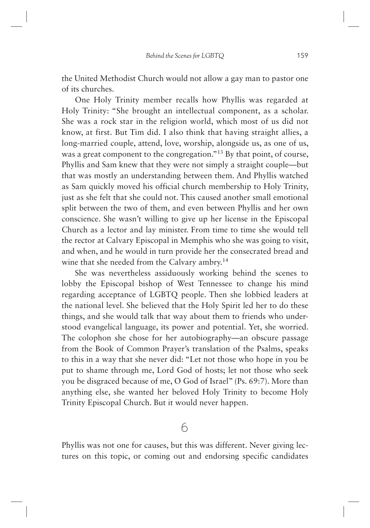the United Methodist Church would not allow a gay man to pastor one of its churches.

One Holy Trinity member recalls how Phyllis was regarded at Holy Trinity: "She brought an intellectual component, as a scholar. She was a rock star in the religion world, which most of us did not know, at first. But Tim did. I also think that having straight allies, a long-married couple, attend, love, worship, alongside us, as one of us, was a great component to the congregation."<sup>13</sup> By that point, of course, Phyllis and Sam knew that they were not simply a straight couple—but that was mostly an understanding between them. And Phyllis watched as Sam quickly moved his official church membership to Holy Trinity, just as she felt that she could not. This caused another small emotional split between the two of them, and even between Phyllis and her own conscience. She wasn't willing to give up her license in the Episcopal Church as a lector and lay minister. From time to time she would tell the rector at Calvary Episcopal in Memphis who she was going to visit, and when, and he would in turn provide her the consecrated bread and wine that she needed from the Calvary ambry.14

She was nevertheless assiduously working behind the scenes to lobby the Episcopal bishop of West Tennessee to change his mind regarding acceptance of LGBTQ people. Then she lobbied leaders at the national level. She believed that the Holy Spirit led her to do these things, and she would talk that way about them to friends who understood evangelical language, its power and potential. Yet, she worried. The colophon she chose for her autobiography—an obscure passage from the Book of Common Prayer's translation of the Psalms, speaks to this in a way that she never did: "Let not those who hope in you be put to shame through me, Lord God of hosts; let not those who seek you be disgraced because of me, O God of Israel" (Ps. 69:7). More than anything else, she wanted her beloved Holy Trinity to become Holy Trinity Episcopal Church. But it would never happen.

#### 6

Phyllis was not one for causes, but this was different. Never giving lectures on this topic, or coming out and endorsing specific candidates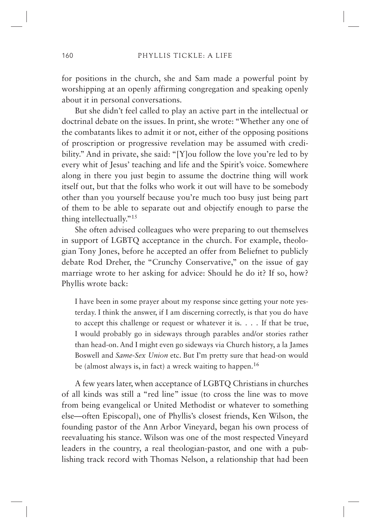for positions in the church, she and Sam made a powerful point by worshipping at an openly affirming congregation and speaking openly about it in personal conversations.

But she didn't feel called to play an active part in the intellectual or doctrinal debate on the issues. In print, she wrote: "Whether any one of the combatants likes to admit it or not, either of the opposing positions of proscription or progressive revelation may be assumed with credibility." And in private, she said: "[Y]ou follow the love you're led to by every whit of Jesus' teaching and life and the Spirit's voice. Somewhere along in there you just begin to assume the doctrine thing will work itself out, but that the folks who work it out will have to be somebody other than you yourself because you're much too busy just being part of them to be able to separate out and objectify enough to parse the thing intellectually."15

She often advised colleagues who were preparing to out themselves in support of LGBTQ acceptance in the church. For example, theologian Tony Jones, before he accepted an offer from Beliefnet to publicly debate Rod Dreher, the "Crunchy Conservative," on the issue of gay marriage wrote to her asking for advice: Should he do it? If so, how? Phyllis wrote back:

I have been in some prayer about my response since getting your note yesterday. I think the answer, if I am discerning correctly, is that you do have to accept this challenge or request or whatever it is. . . . If that be true, I would probably go in sideways through parables and/or stories rather than head-on. And I might even go sideways via Church history, a la James Boswell and *Same-Sex Union* etc. But I'm pretty sure that head-on would be (almost always is, in fact) a wreck waiting to happen.<sup>16</sup>

A few years later, when acceptance of LGBTQ Christians in churches of all kinds was still a "red line" issue (to cross the line was to move from being evangelical or United Methodist or whatever to something else—often Episcopal), one of Phyllis's closest friends, Ken Wilson, the founding pastor of the Ann Arbor Vineyard, began his own process of reevaluating his stance. Wilson was one of the most respected Vineyard leaders in the country, a real theologian-pastor, and one with a publishing track record with Thomas Nelson, a relationship that had been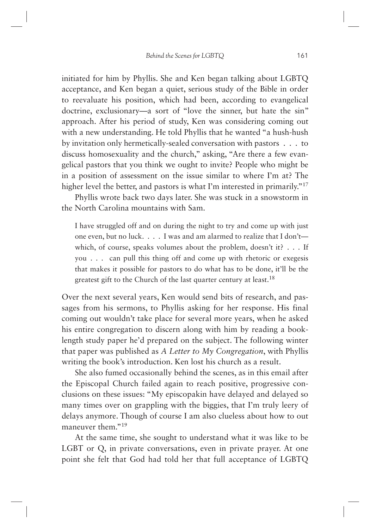initiated for him by Phyllis. She and Ken began talking about LGBTQ acceptance, and Ken began a quiet, serious study of the Bible in order to reevaluate his position, which had been, according to evangelical doctrine, exclusionary—a sort of "love the sinner, but hate the sin" approach. After his period of study, Ken was considering coming out with a new understanding. He told Phyllis that he wanted "a hush-hush by invitation only hermetically-sealed conversation with pastors . . . to discuss homosexuality and the church," asking, "Are there a few evangelical pastors that you think we ought to invite? People who might be in a position of assessment on the issue similar to where I'm at? The higher level the better, and pastors is what I'm interested in primarily."<sup>17</sup>

Phyllis wrote back two days later. She was stuck in a snowstorm in the North Carolina mountains with Sam.

I have struggled off and on during the night to try and come up with just one even, but no luck. . . . I was and am alarmed to realize that I don't which, of course, speaks volumes about the problem, doesn't it? . . . If you . . . can pull this thing off and come up with rhetoric or exegesis that makes it possible for pastors to do what has to be done, it'll be the greatest gift to the Church of the last quarter century at least.<sup>18</sup>

Over the next several years, Ken would send bits of research, and passages from his sermons, to Phyllis asking for her response. His final coming out wouldn't take place for several more years, when he asked his entire congregation to discern along with him by reading a booklength study paper he'd prepared on the subject. The following winter that paper was published as *A Letter to My Congregation*, with Phyllis writing the book's introduction. Ken lost his church as a result.

She also fumed occasionally behind the scenes, as in this email after the Episcopal Church failed again to reach positive, progressive conclusions on these issues: "My episcopakin have delayed and delayed so many times over on grappling with the biggies, that I'm truly leery of delays anymore. Though of course I am also clueless about how to out maneuver them."<sup>19</sup>

At the same time, she sought to understand what it was like to be LGBT or Q, in private conversations, even in private prayer. At one point she felt that God had told her that full acceptance of LGBTQ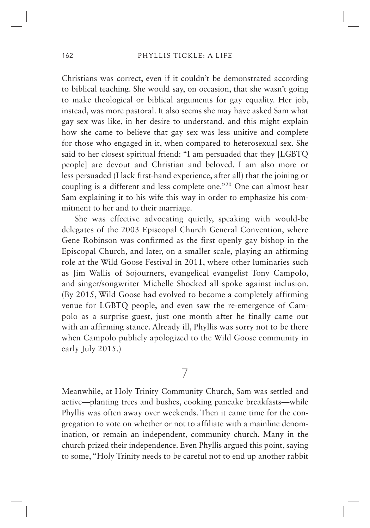Christians was correct, even if it couldn't be demonstrated according to biblical teaching. She would say, on occasion, that she wasn't going to make theological or biblical arguments for gay equality. Her job, instead, was more pastoral. It also seems she may have asked Sam what gay sex was like, in her desire to understand, and this might explain how she came to believe that gay sex was less unitive and complete for those who engaged in it, when compared to heterosexual sex. She said to her closest spiritual friend: "I am persuaded that they [LGBTQ people] are devout and Christian and beloved. I am also more or less persuaded (I lack first-hand experience, after all) that the joining or coupling is a different and less complete one."20 One can almost hear Sam explaining it to his wife this way in order to emphasize his commitment to her and to their marriage.

She was effective advocating quietly, speaking with would-be delegates of the 2003 Episcopal Church General Convention, where Gene Robinson was confirmed as the first openly gay bishop in the Episcopal Church, and later, on a smaller scale, playing an affirming role at the Wild Goose Festival in 2011, where other luminaries such as Jim Wallis of Sojourners, evangelical evangelist Tony Campolo, and singer/songwriter Michelle Shocked all spoke against inclusion. (By 2015, Wild Goose had evolved to become a completely affirming venue for LGBTQ people, and even saw the re-emergence of Campolo as a surprise guest, just one month after he finally came out with an affirming stance. Already ill, Phyllis was sorry not to be there when Campolo publicly apologized to the Wild Goose community in early July 2015.)

### 7

Meanwhile, at Holy Trinity Community Church, Sam was settled and active—planting trees and bushes, cooking pancake breakfasts—while Phyllis was often away over weekends. Then it came time for the congregation to vote on whether or not to affiliate with a mainline denomination, or remain an independent, community church. Many in the church prized their independence. Even Phyllis argued this point, saying to some, "Holy Trinity needs to be careful not to end up another rabbit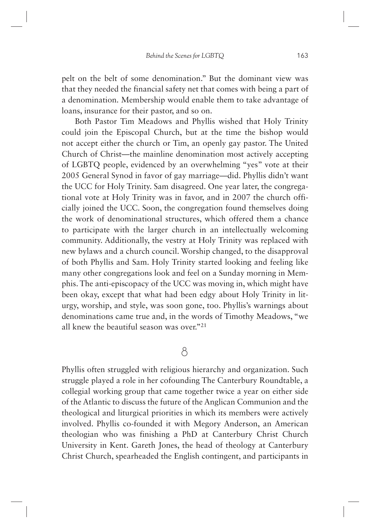pelt on the belt of some denomination." But the dominant view was that they needed the financial safety net that comes with being a part of a denomination. Membership would enable them to take advantage of loans, insurance for their pastor, and so on.

Both Pastor Tim Meadows and Phyllis wished that Holy Trinity could join the Episcopal Church, but at the time the bishop would not accept either the church or Tim, an openly gay pastor. The United Church of Christ—the mainline denomination most actively accepting of LGBTQ people, evidenced by an overwhelming "yes" vote at their 2005 General Synod in favor of gay marriage—did. Phyllis didn't want the UCC for Holy Trinity. Sam disagreed. One year later, the congregational vote at Holy Trinity was in favor, and in 2007 the church officially joined the UCC. Soon, the congregation found themselves doing the work of denominational structures, which offered them a chance to participate with the larger church in an intellectually welcoming community. Additionally, the vestry at Holy Trinity was replaced with new bylaws and a church council. Worship changed, to the disapproval of both Phyllis and Sam. Holy Trinity started looking and feeling like many other congregations look and feel on a Sunday morning in Memphis. The anti-episcopacy of the UCC was moving in, which might have been okay, except that what had been edgy about Holy Trinity in liturgy, worship, and style, was soon gone, too. Phyllis's warnings about denominations came true and, in the words of Timothy Meadows, "we all knew the beautiful season was over."21

# 8

Phyllis often struggled with religious hierarchy and organization. Such struggle played a role in her cofounding The Canterbury Roundtable, a collegial working group that came together twice a year on either side of the Atlantic to discuss the future of the Anglican Communion and the theological and liturgical priorities in which its members were actively involved. Phyllis co-founded it with Megory Anderson, an American theologian who was finishing a PhD at Canterbury Christ Church University in Kent. Gareth Jones, the head of theology at Canterbury Christ Church, spearheaded the English contingent, and participants in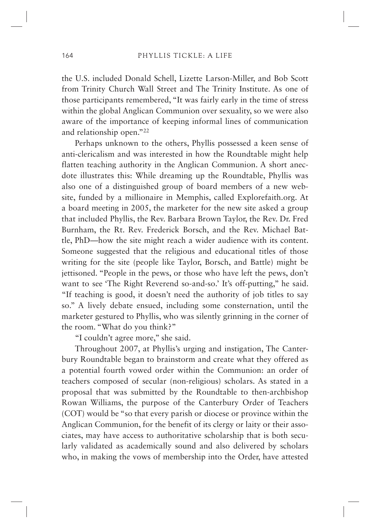the U.S. included Donald Schell, Lizette Larson-Miller, and Bob Scott from Trinity Church Wall Street and The Trinity Institute. As one of those participants remembered, "It was fairly early in the time of stress within the global Anglican Communion over sexuality, so we were also aware of the importance of keeping informal lines of communication and relationship open."22

Perhaps unknown to the others, Phyllis possessed a keen sense of anti-clericalism and was interested in how the Roundtable might help flatten teaching authority in the Anglican Communion. A short anecdote illustrates this: While dreaming up the Roundtable, Phyllis was also one of a distinguished group of board members of a new website, funded by a millionaire in Memphis, called Explorefaith.org. At a board meeting in 2005, the marketer for the new site asked a group that included Phyllis, the Rev. Barbara Brown Taylor, the Rev. Dr. Fred Burnham, the Rt. Rev. Frederick Borsch, and the Rev. Michael Battle, PhD—how the site might reach a wider audience with its content. Someone suggested that the religious and educational titles of those writing for the site (people like Taylor, Borsch, and Battle) might be jettisoned. "People in the pews, or those who have left the pews, don't want to see 'The Right Reverend so-and-so.' It's off-putting," he said. "If teaching is good, it doesn't need the authority of job titles to say so." A lively debate ensued, including some consternation, until the marketer gestured to Phyllis, who was silently grinning in the corner of the room. "What do you think?"

"I couldn't agree more," she said.

Throughout 2007, at Phyllis's urging and instigation, The Canterbury Roundtable began to brainstorm and create what they offered as a potential fourth vowed order within the Communion: an order of teachers composed of secular (non-religious) scholars. As stated in a proposal that was submitted by the Roundtable to then-archbishop Rowan Williams, the purpose of the Canterbury Order of Teachers (COT) would be "so that every parish or diocese or province within the Anglican Communion, for the benefit of its clergy or laity or their associates, may have access to authoritative scholarship that is both secularly validated as academically sound and also delivered by scholars who, in making the vows of membership into the Order, have attested